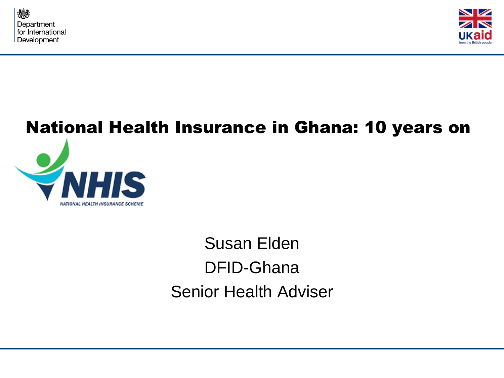

NATIONAL HEALTH INSURANCE SCHEME



# National Health Insurance in Ghana: 10 years on S

Susan Elden DFID-Ghana Senior Health Adviser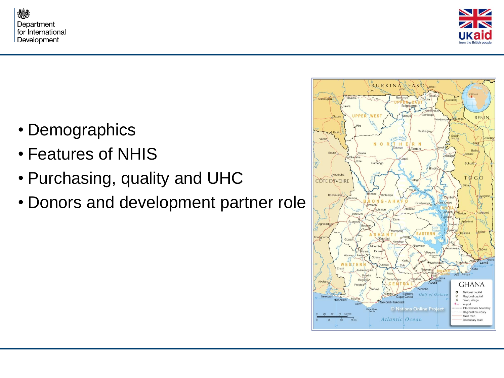



- Demographics
- Features of NHIS
- Purchasing, quality and UHC
- Donors and development partner role

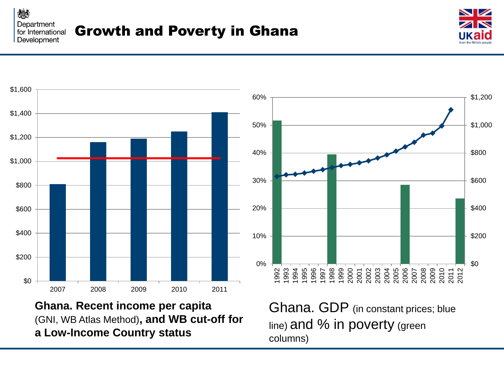燃 Department for International Development



\$0



**Ghana. Recent income per capita** (GNI, WB Atlas Method)**, and WB cut-off for a Low-Income Country status**

Ghana. GDP (in constant prices; blue line) and % in poverty (green columns)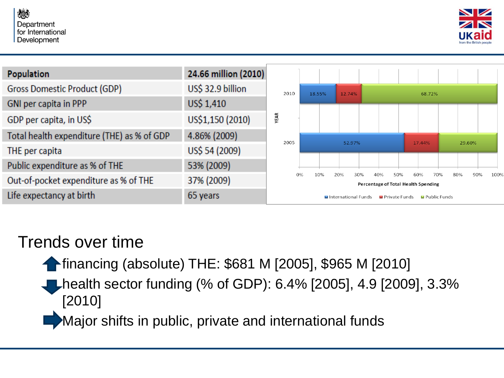



| <b>Population</b>                          | 24.66 million (2010) |                                                                                                                  |                                                                |  |        |  |  |  |        |  |        |  |  |  |
|--------------------------------------------|----------------------|------------------------------------------------------------------------------------------------------------------|----------------------------------------------------------------|--|--------|--|--|--|--------|--|--------|--|--|--|
| <b>Gross Domestic Product (GDP)</b>        | US\$ 32.9 billion    | 2010                                                                                                             | 18.55%                                                         |  | 12.74% |  |  |  | 68.72% |  |        |  |  |  |
| GNI per capita in PPP                      | US\$ 1,410           |                                                                                                                  |                                                                |  |        |  |  |  |        |  |        |  |  |  |
| GDP per capita, in US\$                    | US\$1,150 (2010)     | YEAR                                                                                                             |                                                                |  |        |  |  |  |        |  |        |  |  |  |
| Total health expenditure (THE) as % of GDP | 4.86% (2009)         | 2005                                                                                                             |                                                                |  | 52.97% |  |  |  | 17.44% |  | 29.60% |  |  |  |
| THE per capita                             | US\$ 54 (2009)       |                                                                                                                  |                                                                |  |        |  |  |  |        |  |        |  |  |  |
| Public expenditure as % of THE             | 53% (2009)           |                                                                                                                  |                                                                |  |        |  |  |  |        |  |        |  |  |  |
| Out-of-pocket expenditure as % of THE      | 37% (2009)           | 0%<br>10%<br>90%<br>20%<br>30%<br>70%<br>80%<br>100%<br>40%<br>50%<br>60%<br>Percentage of Total Health Spending |                                                                |  |        |  |  |  |        |  |        |  |  |  |
| Life expectancy at birth                   | 65 years             |                                                                                                                  | International Funds<br><b>El</b> Public Funds<br>Private Funds |  |        |  |  |  |        |  |        |  |  |  |

#### Trends over time

financing (absolute) THE: \$681 M [2005], \$965 M [2010]

health sector funding (% of GDP): 6.4% [2005], 4.9 [2009], 3.3% [2010]

Major shifts in public, private and international funds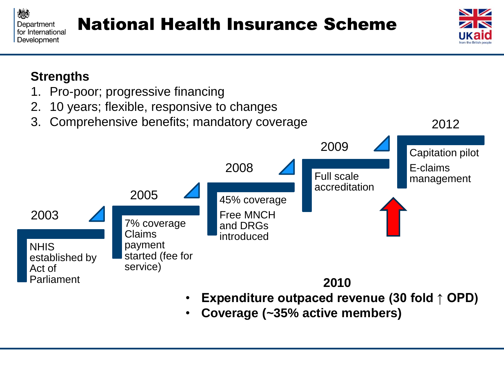



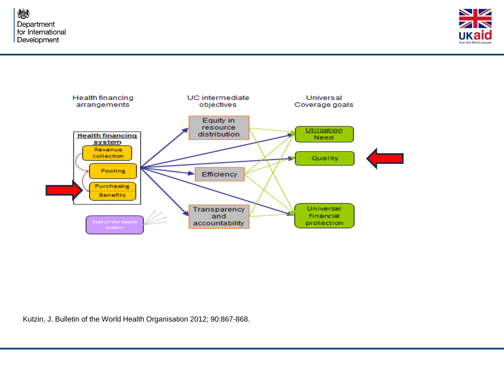燃 Department for International Development





Kutzin, J. Bulletin of the World Health Organisation 2012; 90:867-868.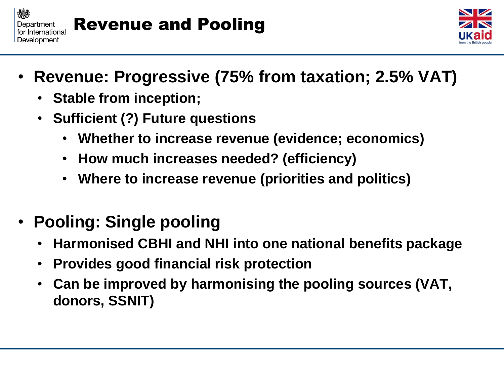



- **Revenue: Progressive (75% from taxation; 2.5% VAT)**
	- **Stable from inception;**
	- **Sufficient (?) Future questions** 
		- **Whether to increase revenue (evidence; economics)**
		- **How much increases needed? (efficiency)**
		- **Where to increase revenue (priorities and politics)**
- **Pooling: Single pooling**
	- **Harmonised CBHI and NHI into one national benefits package**
	- **Provides good financial risk protection**
	- **Can be improved by harmonising the pooling sources (VAT, donors, SSNIT)**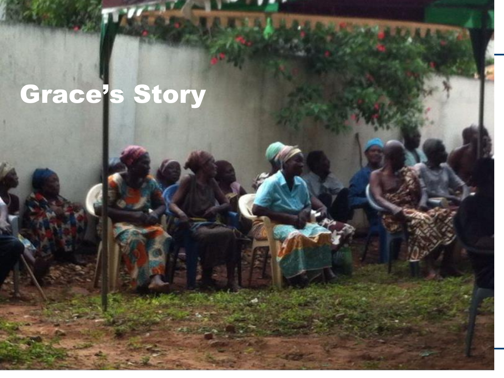## Grace's Story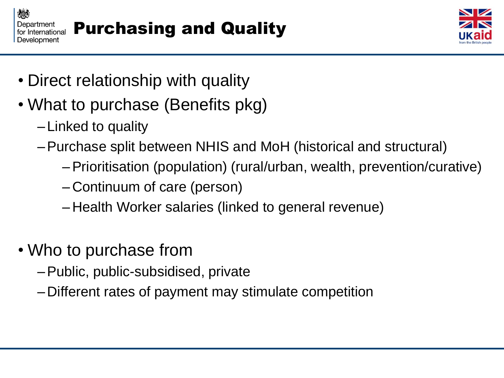



- Direct relationship with quality
- What to purchase (Benefits pkg)
	- –Linked to quality
	- –Purchase split between NHIS and MoH (historical and structural)
		- –Prioritisation (population) (rural/urban, wealth, prevention/curative)
		- –Continuum of care (person)
		- Health Worker salaries (linked to general revenue)
- Who to purchase from
	- –Public, public-subsidised, private
	- –Different rates of payment may stimulate competition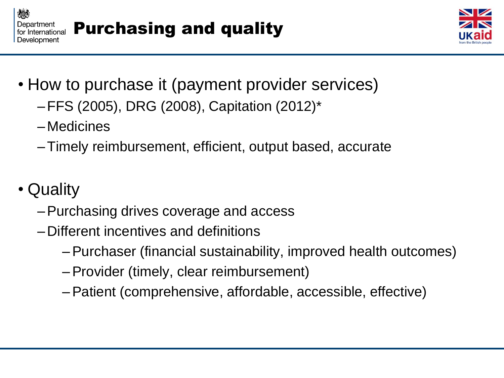



- How to purchase it (payment provider services)
	- –FFS (2005), DRG (2008), Capitation (2012)\*
	- –Medicines
	- –Timely reimbursement, efficient, output based, accurate
- Quality
	- –Purchasing drives coverage and access
	- –Different incentives and definitions
		- –Purchaser (financial sustainability, improved health outcomes)
		- –Provider (timely, clear reimbursement)
		- –Patient (comprehensive, affordable, accessible, effective)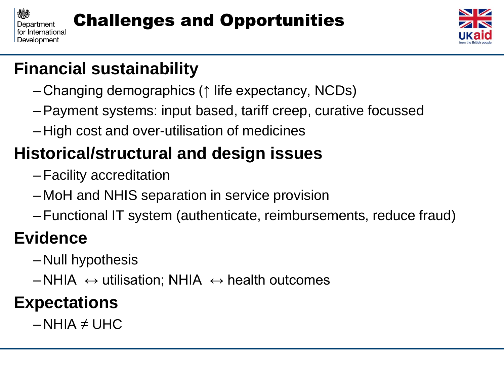



#### **Financial sustainability**

- –Changing demographics (↑ life expectancy, NCDs)
- –Payment systems: input based, tariff creep, curative focussed
- –High cost and over-utilisation of medicines

### **Historical/structural and design issues**

- –Facility accreditation
- –MoH and NHIS separation in service provision
- –Functional IT system (authenticate, reimbursements, reduce fraud)

#### **Evidence**

- –Null hypothesis
- $-NHIA \leftrightarrow$  utilisation; NHIA  $\leftrightarrow$  health outcomes

#### **Expectations**

 $-NHIA \neq UHC$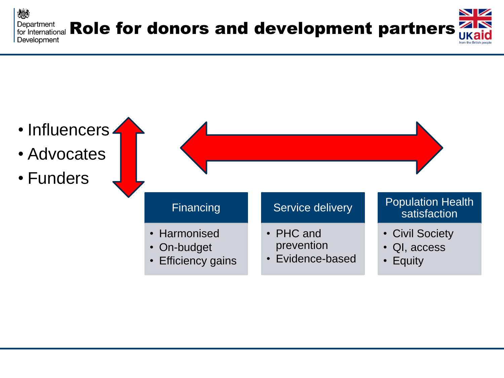嫁 NIZ Department Department<br>for International Role for donors and development partners  $\overline{\phantom{a}}$ Development

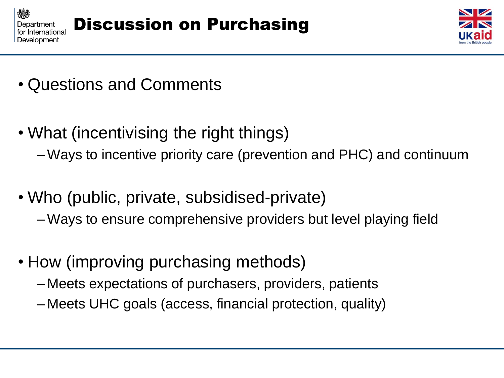



- Questions and Comments
- What (incentivising the right things)
	- –Ways to incentive priority care (prevention and PHC) and continuum
- Who (public, private, subsidised-private) –Ways to ensure comprehensive providers but level playing field
- How (improving purchasing methods)
	- –Meets expectations of purchasers, providers, patients
	- –Meets UHC goals (access, financial protection, quality)